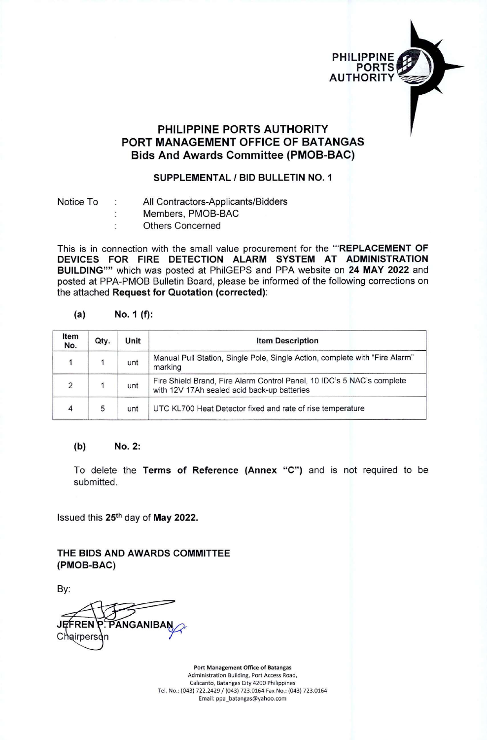

# PHILIPPINE PORTS AUTHORITY PORT MANAGEMENT OFFICE OF BATANGAS Bids And Awards Committee (PMOB-BAC)

### SUPPLEMENTAL / BID BULLETIN NO. <sup>1</sup>

- Notice To : All Contractors-Applicants/Bidders
	- Members, PMOB-BAC
	- Others Concerned  $\ddot{\phantom{a}}$

This is in connection with the small value procurement for the ""REPLACEMENT OF DEVICES FOR FIRE DETECTION ALARM SYSTEM AT ADMINISTRATION BUILDING"" which was posted at PhilGEPS and PPA website on <sup>24</sup> **MAY** <sup>2022</sup> and posted at PPA-PMOB Bulletin Board, please be informed of the following corrections on the attached **Request for Quotation (corrected);**

| (a) | No. 1 (f): |
|-----|------------|
|     |            |

 $\ddot{\cdot}$ 

| Item<br>No.    | Qty. | Unit | <b>Item Description</b>                                                                                               |  |
|----------------|------|------|-----------------------------------------------------------------------------------------------------------------------|--|
| 1              |      | unt  | Manual Pull Station, Single Pole, Single Action, complete with "Fire Alarm"<br>marking                                |  |
| $\overline{2}$ |      | unt  | Fire Shield Brand, Fire Alarm Control Panel, 10 IDC's 5 NAC's complete<br>with 12V 17Ah sealed acid back-up batteries |  |
| 4              | 5    | unt  | UTC KL700 Heat Detector fixed and rate of rise temperature                                                            |  |

#### **(b) No. 2:**

To delete the Terms of Reference (Annex "C") and is not required to be submitted.

Issued this 25th day of **May** 2022.

THE BIDS AND AWARDS COMMITTEE (PMOB-BAC)

By:

**JEFREN** ANGANIBA Chairperson

**Port Management Office of Batangas** Administration Building, Port Access Road, Calicanto, Batangas City 4200 Philippines **Tel. No.: (043) 722.2429** / (043) **723.0164** Fax **No.; (043) 723.0164** Email: [ppa\\_batangas@yahoo.com](mailto:ppa_batangas@yahoo.com)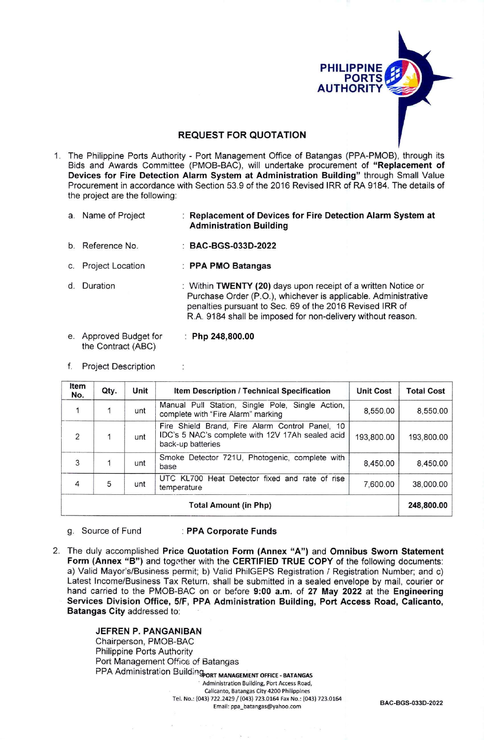

#### **REQUEST FOR QUOTATION**

- 1. The Philippine Ports Authority Port Management Office of Batangas (PPA-PMOB), through its Bids and Awards Committee (PMOB-BAC), will undertake procurement of **"Replacement of Devices for Fire Detection Alarm System at Administration Building"** through Small Value Procurement in accordance with Section 53.9 of the 2016 Revised IRR of RA 9184. The details of the project are the following:
	- a. Name of Project **Replacement of Devices for Fire Detection Alarm System at Administration Building**
	- b. Reference No. **BAC-BGS-033D-2022**
	- Project Location **PPA PMO Batangas**
	- d. Duration Within **TWENTY (20)** days upon receipt of a written Notice or Purchase Order (P.O.), whichever is applicable. Administrative penalties pursuant to Sec. 69 of the 2016 Revised IRR of R.A. 9184 shall be imposed for non-delivery without reason.
	- e. Approved Budget for the Contract (ABC) **Php 248,800.00**

 $\ddot{\phantom{a}}$ 

f. Project Description

| Item<br>No.                  | Qty. | Unit | Item Description / Technical Specification                                                                               | <b>Unit Cost</b> | <b>Total Cost</b> |
|------------------------------|------|------|--------------------------------------------------------------------------------------------------------------------------|------------------|-------------------|
|                              |      | unt  | Manual Pull Station, Single Pole, Single Action,<br>complete with "Fire Alarm" marking                                   | 8,550.00         | 8,550.00          |
| $\mathfrak{p}$               |      | unt  | Fire Shield Brand, Fire Alarm Control Panel, 10<br>IDC's 5 NAC's complete with 12V 17Ah sealed acid<br>back-up batteries | 193,800.00       | 193,800.00        |
| 3                            |      | unt  | Smoke Detector 721U, Photogenic, complete with<br>base                                                                   | 8,450.00         | 8,450.00          |
| 4                            | 5    | unt  | UTC KL700 Heat Detector fixed and rate of rise<br>temperature                                                            | 7,600.00         | 38,000.00         |
| <b>Total Amount (in Php)</b> |      |      |                                                                                                                          | 248,800.00       |                   |

- g. Source of Fund **PPA Corporate Funds**
- 2, The duly accomplished **Price Quotation Form (Annex "A")** and **Omnibus Sworn Statement Form (Annex "B")** and together with the **CERTIFIED TRUE COPY** of the following documents: a) Valid Mayor's/Business permit; b) Valid PhilGEPS Registration / Registration Number; and c) Latest Income/Business Tax Return, shall be submitted in a sealed envelope by mail, courier or hand carried to the PMOB-BAC on or before **9:00 a.m.** of **27 May 2022 at** the **Engineering Services Division Office, 5/F, PPA Administration Building, Port Access Road, Calicanto, Batangas City** addressed to:

**JEFREN P. PANGANIBAN** Chairperson, PMOB-BAC Philippine Ports Authority Port Management Office of Batangas PPA Administration Building <sub>port Management Office - BATANGAS</sub> Administration Building, Port Access Road, Calicanto, Batangas City 4200 Philippines Tel. No.: (043) 722.2429 /(043) 723.0164 Fax No.: (043) 723.0164 Email: [ppa\\_batangas@yahoo.com](mailto:ppa_batangas@yahoo.com) **BAC-BGS-033D-2022**